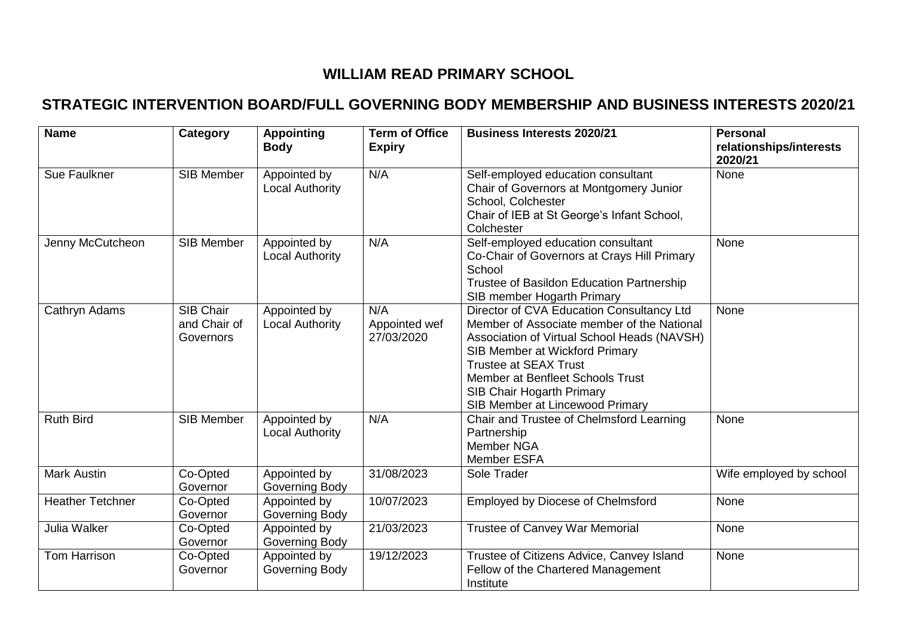# **WILLIAM READ PRIMARY SCHOOL**

## **STRATEGIC INTERVENTION BOARD/FULL GOVERNING BODY MEMBERSHIP AND BUSINESS INTERESTS 2020/21**

| <b>Name</b>             | Category                               | <b>Appointing</b><br><b>Body</b>       | <b>Term of Office</b><br><b>Expiry</b> | <b>Business Interests 2020/21</b>                                                                                                                                                                                                                                                                                   | <b>Personal</b><br>relationships/interests<br>2020/21 |
|-------------------------|----------------------------------------|----------------------------------------|----------------------------------------|---------------------------------------------------------------------------------------------------------------------------------------------------------------------------------------------------------------------------------------------------------------------------------------------------------------------|-------------------------------------------------------|
| Sue Faulkner            | <b>SIB Member</b>                      | Appointed by<br><b>Local Authority</b> | N/A                                    | Self-employed education consultant<br>Chair of Governors at Montgomery Junior<br>School, Colchester<br>Chair of IEB at St George's Infant School,<br>Colchester                                                                                                                                                     | None                                                  |
| Jenny McCutcheon        | <b>SIB Member</b>                      | Appointed by<br>Local Authority        | N/A                                    | Self-employed education consultant<br>Co-Chair of Governors at Crays Hill Primary<br>School<br>Trustee of Basildon Education Partnership<br>SIB member Hogarth Primary                                                                                                                                              | None                                                  |
| Cathryn Adams           | SIB Chair<br>and Chair of<br>Governors | Appointed by<br><b>Local Authority</b> | N/A<br>Appointed wef<br>27/03/2020     | Director of CVA Education Consultancy Ltd<br>Member of Associate member of the National<br>Association of Virtual School Heads (NAVSH)<br>SIB Member at Wickford Primary<br><b>Trustee at SEAX Trust</b><br>Member at Benfleet Schools Trust<br><b>SIB Chair Hogarth Primary</b><br>SIB Member at Lincewood Primary | None                                                  |
| <b>Ruth Bird</b>        | <b>SIB Member</b>                      | Appointed by<br><b>Local Authority</b> | N/A                                    | Chair and Trustee of Chelmsford Learning<br>Partnership<br>Member NGA<br><b>Member ESFA</b>                                                                                                                                                                                                                         | None                                                  |
| <b>Mark Austin</b>      | Co-Opted<br>Governor                   | Appointed by<br>Governing Body         | 31/08/2023                             | Sole Trader                                                                                                                                                                                                                                                                                                         | Wife employed by school                               |
| <b>Heather Tetchner</b> | Co-Opted<br>Governor                   | Appointed by<br>Governing Body         | 10/07/2023                             | <b>Employed by Diocese of Chelmsford</b>                                                                                                                                                                                                                                                                            | None                                                  |
| Julia Walker            | Co-Opted<br>Governor                   | Appointed by<br>Governing Body         | 21/03/2023                             | Trustee of Canvey War Memorial                                                                                                                                                                                                                                                                                      | None                                                  |
| Tom Harrison            | Co-Opted<br>Governor                   | Appointed by<br>Governing Body         | 19/12/2023                             | Trustee of Citizens Advice, Canvey Island<br>Fellow of the Chartered Management<br>Institute                                                                                                                                                                                                                        | None                                                  |